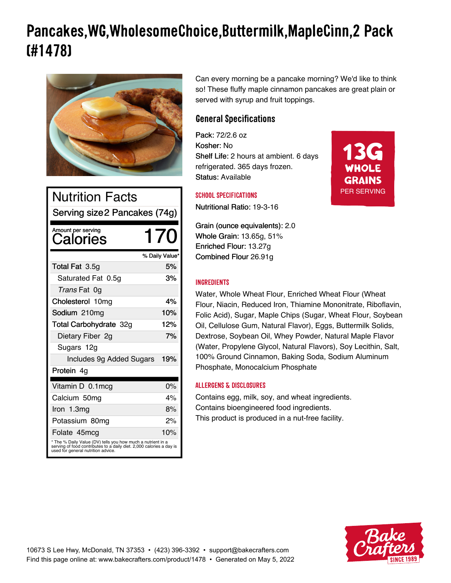# **Pancakes,WG,WholesomeChoice,Buttermilk,MapleCinn,2 Pack (#1478)**



| <b>Nutrition Facts</b><br>Serving size2 Pancakes (74g)                                                                                                                    |                |  |
|---------------------------------------------------------------------------------------------------------------------------------------------------------------------------|----------------|--|
| Amount per serving<br>Calories                                                                                                                                            | 170            |  |
|                                                                                                                                                                           | % Daily Value* |  |
| Total Fat 3.5g                                                                                                                                                            | 5%             |  |
| Saturated Fat 0.5g                                                                                                                                                        | 3%             |  |
| Trans Fat 0g                                                                                                                                                              |                |  |
| Cholesterol 10mg                                                                                                                                                          | 4%             |  |
| Sodium 210mg                                                                                                                                                              | 10%            |  |
| Total Carbohydrate 32g                                                                                                                                                    | 12%            |  |
| Dietary Fiber 2g                                                                                                                                                          | 7%             |  |
| Sugars 12g                                                                                                                                                                |                |  |
| Includes 9g Added Sugars                                                                                                                                                  | 19%            |  |
| Protein 4g                                                                                                                                                                |                |  |
| Vitamin D 0.1 mcg                                                                                                                                                         | $0\%$          |  |
| Calcium 50mg                                                                                                                                                              | 4%             |  |
| Iron 1.3mg                                                                                                                                                                | 8%             |  |
| Potassium 80mg                                                                                                                                                            | 2%             |  |
| Folate 45mcg                                                                                                                                                              | 10%            |  |
| * The % Daily Value (DV) tells you how much a nutrient in a<br>serving of food contributes to a daily diet. 2,000 calories a day is<br>used for general nutrition advice. |                |  |

Can every morning be a pancake morning? We'd like to think so! These fluffy maple cinnamon pancakes are great plain or served with syrup and fruit toppings.

> 13G WHOLE **GRAINS** PER SERVING

# **General Specifications**

Pack: 72/2.6 oz Kosher: No Shelf Life: 2 hours at ambient. 6 days refrigerated. 365 days frozen. Status: Available

## **SCHOOL SPECIFICATIONS**

Nutritional Ratio: 19-3-16

Grain (ounce equivalents): 2.0 Whole Grain: 13.65g, 51% Enriched Flour: 13.27g Combined Flour 26.91g

## **INGREDIENTS**

Water, Whole Wheat Flour, Enriched Wheat Flour (Wheat Flour, Niacin, Reduced Iron, Thiamine Mononitrate, Riboflavin, Folic Acid), Sugar, Maple Chips (Sugar, Wheat Flour, Soybean Oil, Cellulose Gum, Natural Flavor), Eggs, Buttermilk Solids, Dextrose, Soybean Oil, Whey Powder, Natural Maple Flavor (Water, Propylene Glycol, Natural Flavors), Soy Lecithin, Salt, 100% Ground Cinnamon, Baking Soda, Sodium Aluminum Phosphate, Monocalcium Phosphate

## **ALLERGENS & DISCLOSURES**

Contains egg, milk, soy, and wheat ingredients. Contains bioengineered food ingredients. This product is produced in a nut-free facility.

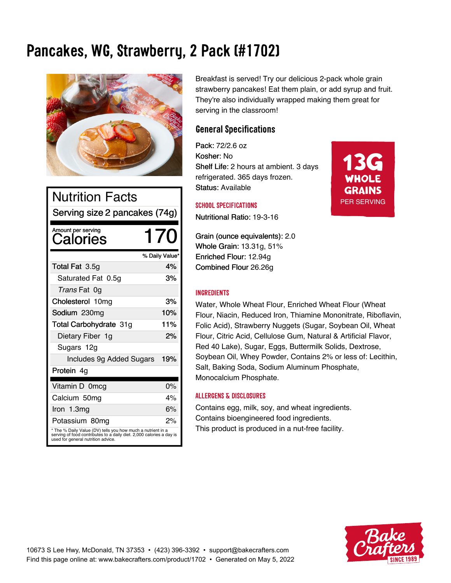# **Pancakes, WG, Strawberry, 2 Pack (#1702)**



| <b>Nutrition Facts</b>                                                                                                                                                    |                |  |
|---------------------------------------------------------------------------------------------------------------------------------------------------------------------------|----------------|--|
| Serving size 2 pancakes (74g)                                                                                                                                             |                |  |
| Amount per serving<br>Calories                                                                                                                                            | 170            |  |
|                                                                                                                                                                           | % Daily Value* |  |
| Total Fat 3.5g                                                                                                                                                            | 4%             |  |
| Saturated Fat 0.5g                                                                                                                                                        | 3%             |  |
| Trans Fat 0g                                                                                                                                                              |                |  |
| Cholesterol 10mg                                                                                                                                                          | 3%             |  |
| Sodium 230mg                                                                                                                                                              | 10%            |  |
| Total Carbohydrate 31g                                                                                                                                                    | 11%            |  |
| Dietary Fiber 1g                                                                                                                                                          | 2%             |  |
| Sugars 12g                                                                                                                                                                |                |  |
| Includes 9g Added Sugars                                                                                                                                                  | 19%            |  |
| Protein 4g                                                                                                                                                                |                |  |
| Vitamin D 0mcg                                                                                                                                                            | 0%             |  |
| Calcium 50mg                                                                                                                                                              | 4%             |  |
| Iron 1.3mg                                                                                                                                                                | 6%             |  |
| Potassium 80mg                                                                                                                                                            | 2%             |  |
| * The % Daily Value (DV) tells you how much a nutrient in a<br>serving of food contributes to a daily diet. 2,000 calories a day is<br>used for general nutrition advice. |                |  |

Breakfast is served! Try our delicious 2-pack whole grain strawberry pancakes! Eat them plain, or add syrup and fruit. They're also individually wrapped making them great for serving in the classroom!

13G

WHOLE **GRAINS** PER SERVING

# **General Specifications**

Pack: 72/2.6 oz Kosher: No Shelf Life: 2 hours at ambient. 3 days refrigerated. 365 days frozen. Status: Available

### **SCHOOL SPECIFICATIONS**

Nutritional Ratio: 19-3-16

Grain (ounce equivalents): 2.0 Whole Grain: 13.31g, 51% Enriched Flour: 12.94g Combined Flour 26.26g

#### **INGREDIENTS**

Water, Whole Wheat Flour, Enriched Wheat Flour (Wheat Flour, Niacin, Reduced Iron, Thiamine Mononitrate, Riboflavin, Folic Acid), Strawberry Nuggets (Sugar, Soybean Oil, Wheat Flour, Citric Acid, Cellulose Gum, Natural & Artificial Flavor, Red 40 Lake), Sugar, Eggs, Buttermilk Solids, Dextrose, Soybean Oil, Whey Powder, Contains 2% or less of: Lecithin, Salt, Baking Soda, Sodium Aluminum Phosphate, Monocalcium Phosphate.

#### **ALLERGENS & DISCLOSURES**

Contains egg, milk, soy, and wheat ingredients. Contains bioengineered food ingredients. This product is produced in a nut-free facility.